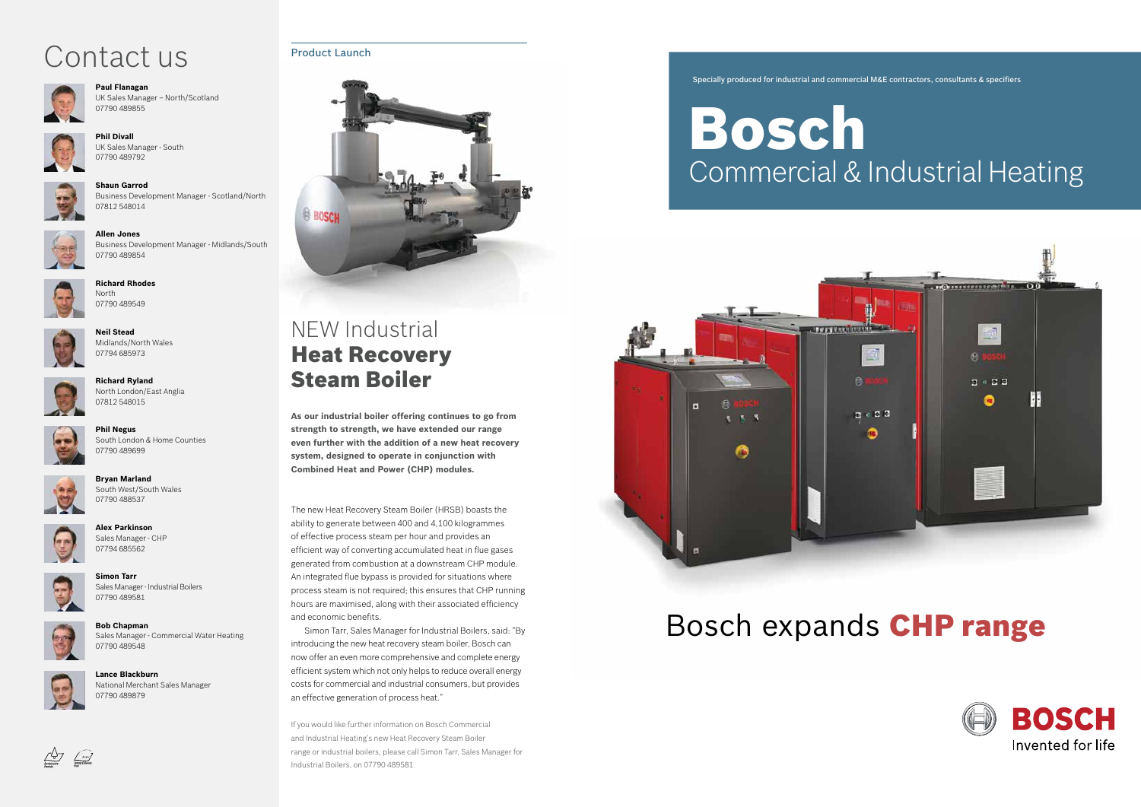#### Specially produced for industrial and commercial M&E contractors, consultants & specifiers

# Bosch Commercial & Industrial Heating



# Bosch expands CHP range





### NEW Industrial Heat Recovery Steam Boiler

The new Heat Recovery Steam Boiler (HRSB) boasts the ability to generate between 400 and 4,100 kilogrammes of effective process steam per hour and provides an efficient way of converting accumulated heat in flue gases generated from combustion at a downstream CHP module. An integrated flue bypass is provided for situations where process steam is not required; this ensures that CHP running hours are maximised, along with their associated efficiency and economic benefits.

Simon Tarr, Sales Manager for Industrial Boilers, said: "By introducing the new heat recovery steam boiler, Bosch can now offer an even more comprehensive and complete energy efficient system which not only helps to reduce overall energy costs for commercial and industrial consumers, but provides an effective generation of process heat."

If you would like further information on Bosch Commercial and Industrial Heating's new Heat Recovery Steam Boiler range or industrial boilers, please call Simon Tarr, Sales Manager for Industrial Boilers, on 07790 489581.

**As our industrial boiler offering continues to go from strength to strength, we have extended our range even further with the addition of a new heat recovery system, designed to operate in conjunction with Combined Heat and Power (CHP) modules.**

### Contact us Product Launch



**Paul Flanagan** UK Sales Manager – North/Scotland 07790 489855



**Phil Divall** UK Sales Manager - South 07790 489792

**Shaun Garrod** Business Development Manager - Scotland/North 07812 548014



**Allen Jones** Business Development Manager - Midlands/South 07790 489854



**Richard Rhodes** North 07790 489549



**Neil Stead** Midlands/North Wales 07794 685973



**Phil Negus** South London & Home Counties 07790 489699



**Bryan Marland** South West/South Wales

07790 488537









**Bob Chapman** Sales Manager - Commercial Water Heating 07790 489548



 $\begin{array}{|c|c|}\n\hline\n\text{Cyl} & \text{Cyl} & \text{Cyl} \\
\hline\n\text{Solv} & \text{Cyl} & \text{Cyl} \\
\text{EVAL} & \text{Dval} & \text{Cyl} & \text{Cyl} \\
\hline\n\end{array}$ 

**Lance Blackburn** National Merchant Sales Manager 07790 489879



**Richard Ryland** North London/East Anglia 07812 548015

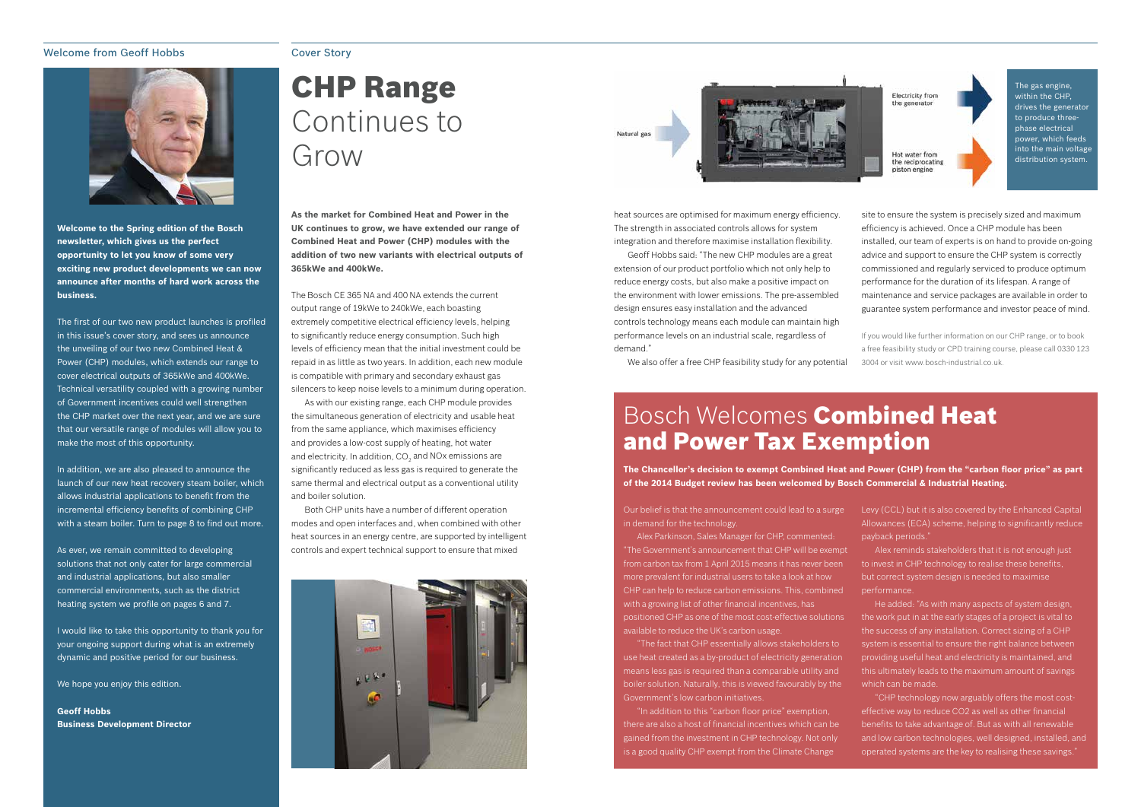### Welcome from Geoff Hobbs



**Welcome to the Spring edition of the Bosch newsletter, which gives us the perfect opportunity to let you know of some very exciting new product developments we can now announce after months of hard work across the business.**

In addition, we are also pleased to announce the launch of our new heat recovery steam boiler, which allows industrial applications to benefit from the incremental efficiency benefits of combining CHP with a steam boiler. Turn to page 8 to find out more.

The first of our two new product launches is profiled in this issue's cover story, and sees us announce the unveiling of our two new Combined Heat & Power (CHP) modules, which extends our range to cover electrical outputs of 365kWe and 400kWe. Technical versatility coupled with a growing number of Government incentives could well strengthen the CHP market over the next year, and we are sure that our versatile range of modules will allow you to make the most of this opportunity.

As ever, we remain committed to developing solutions that not only cater for large commercial and industrial applications, but also smaller commercial environments, such as the district heating system we profile on pages 6 and 7.

I would like to take this opportunity to thank you for your ongoing support during what is an extremely dynamic and positive period for our business.

We hope you enjoy this edition.

**Geoff Hobbs Business Development Director**

#### Cover Story

## CHP Range Continues to Grow

**As the market for Combined Heat and Power in the UK continues to grow, we have extended our range of Combined Heat and Power (CHP) modules with the addition of two new variants with electrical outputs of 365kWe and 400kWe.** 

The Bosch CE 365 NA and 400 NA extends the current output range of 19kWe to 240kWe, each boasting extremely competitive electrical efficiency levels, helping to significantly reduce energy consumption. Such high levels of efficiency mean that the initial investment could be repaid in as little as two years. In addition, each new module is compatible with primary and secondary exhaust gas silencers to keep noise levels to a minimum during operation.

As with our existing range, each CHP module provides the simultaneous generation of electricity and usable heat from the same appliance, which maximises efficiency and provides a low-cost supply of heating, hot water and electricity. In addition, CO $_2$  and NOx emissions are significantly reduced as less gas is required to generate the same thermal and electrical output as a conventional utility and boiler solution.

Both CHP units have a number of different operation modes and open interfaces and, when combined with other heat sources in an energy centre, are supported by intelligent controls and expert technical support to ensure that mixed



Natural eas



in demand for the technology.

Alex Parkinson, Sales Manager for CHP, commented: "The Government's announcement that CHP will be exempt from carbon tax from 1 April 2015 means it has never been more prevalent for industrial users to take a look at how CHP can help to reduce carbon emissions. This, combined with a growing list of other financial incentives, has positioned CHP as one of the most cost-effective solutions available to reduce the UK's carbon usage.

Our belief is that the announcement could lead to a surge Levy (CCL) but it is also covered by the Enhanced Capital Allowances (ECA) scheme, helping to significantly reduce payback periods."

"The fact that CHP essentially allows stakeholders to use heat created as a by-product of electricity generation means less gas is required than a comparable utility and boiler solution. Naturally, this is viewed favourably by the Government's low carbon initiatives.

"In addition to this "carbon floor price" exemption, there are also a host of financial incentives which can be gained from the investment in CHP technology. Not only is a good quality CHP exempt from the Climate Change



Electricity from the generator

Hot water from the reciprocating piston engine



### Bosch Welcomes Combined Heat and Power Tax Exemption

Alex reminds stakeholders that it is not enough just to invest in CHP technology to realise these benefits, but correct system design is needed to maximise performance.

He added: "As with many aspects of system design, the work put in at the early stages of a project is vital to the success of any installation. Correct sizing of a CHP system is essential to ensure the right balance between providing useful heat and electricity is maintained, and this ultimately leads to the maximum amount of savings which can be made.

"CHP technology now arguably offers the most costeffective way to reduce CO2 as well as other financial benefits to take advantage of. But as with all renewable and low carbon technologies, well designed, installed, and operated systems are the key to realising these savings."

site to ensure the system is precisely sized and maximum efficiency is achieved. Once a CHP module has been installed, our team of experts is on hand to provide on-going advice and support to ensure the CHP system is correctly commissioned and regularly serviced to produce optimum performance for the duration of its lifespan. A range of maintenance and service packages are available in order to guarantee system performance and investor peace of mind.

If you would like further information on our CHP range, or to book a free feasibility study or CPD training course, please call 0330 123 3004 or visit www.bosch-industrial.co.uk.

**The Chancellor's decision to exempt Combined Heat and Power (CHP) from the "carbon floor price" as part of the 2014 Budget review has been welcomed by Bosch Commercial & Industrial Heating.**

heat sources are optimised for maximum energy efficiency. The strength in associated controls allows for system integration and therefore maximise installation flexibility.

Geoff Hobbs said: "The new CHP modules are a great extension of our product portfolio which not only help to reduce energy costs, but also make a positive impact on the environment with lower emissions. The pre-assembled design ensures easy installation and the advanced controls technology means each module can maintain high performance levels on an industrial scale, regardless of demand."

We also offer a free CHP feasibility study for any potential

The gas engine, within the CHP, drives the generator to produce threephase electrical power, which feeds into the main voltage distribution system.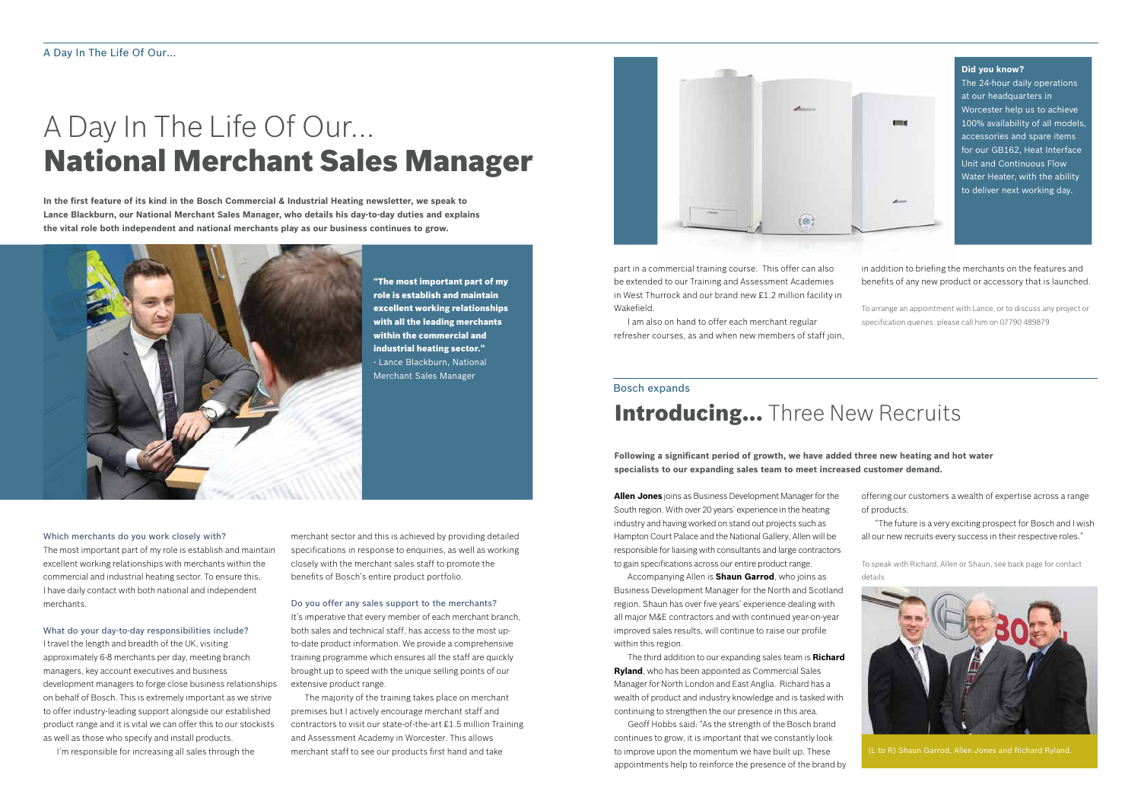**In the first feature of its kind in the Bosch Commercial & Industrial Heating newsletter, we speak to Lance Blackburn, our National Merchant Sales Manager, who details his day-to-day duties and explains the vital role both independent and national merchants play as our business continues to grow.**



## A Day In The Life Of Our... National Merchant Sales Manager

#### Which merchants do you work closely with?

The most important part of my role is establish and maintain excellent working relationships with merchants within the commercial and industrial heating sector. To ensure this, I have daily contact with both national and independent merchants.

#### What do your day-to-day responsibilities include?

I travel the length and breadth of the UK, visiting approximately 6-8 merchants per day, meeting branch managers, key account executives and business development managers to forge close business relationships on behalf of Bosch. This is extremely important as we strive to offer industry-leading support alongside our established product range and it is vital we can offer this to our stockists as well as those who specify and install products.

I'm responsible for increasing all sales through the

"The most important part of my

role is establish and maintain excellent working relationships with all the leading merchants within the commercial and industrial heating sector." - Lance Blackburn, National Merchant Sales Manager

> **Following a significant period of growth, we have added three new heating and hot water specialists to our expanding sales team to meet increased customer demand.**

Accompanying Allen is **Shaun Garrod**, who joins as Business Development Manager for the North and Scotland region. Shaun has over five years' experience dealing with all major M&E contractors and with continued year-on-year improved sales results, will continue to raise our profile within this region.

The third addition to our expanding sales team is **Richard Ryland**, who has been appointed as Commercial Sales Manager for North London and East Anglia. Richard has a wealth of product and industry knowledge and is tasked with continuing to strengthen the our presence in this area.

**Allen Jones** joins as Business Development Manager for the South region. With over 20 years' experience in the heating industry and having worked on stand out projects such as Hampton Court Palace and the National Gallery, Allen will be responsible for liaising with consultants and large contractors to gain specifications across our entire product range. of products. "The future is a very exciting prospect for Bosch and I wish all our new recruits every success in their respective roles." To speak with Richard, Allen or Shaun, see back page for contact

Geoff Hobbs said: "As the strength of the Bosch brand continues to grow, it is important that we constantly look to improve upon the momentum we have built up. These appointments help to reinforce the presence of the brand by

#### Bosch expands

### **Introducing...** Three New Recruits

part in a commercial training course. This offer can also be extended to our Training and Assessment Academies in West Thurrock and our brand new £1.2 million facility in Wakefield.

I am also on hand to offer each merchant regular refresher courses, as and when new members of staff join,

(L to R) Shaun Garrod, Allen Jones and Richard Ryland.

offering our customers a wealth of expertise across a range

details.



merchant sector and this is achieved by providing detailed specifications in response to enquiries, as well as working closely with the merchant sales staff to promote the benefits of Bosch's entire product portfolio.

### Do you offer any sales support to the merchants?

It's imperative that every member of each merchant branch, both sales and technical staff, has access to the most upto-date product information. We provide a comprehensive training programme which ensures all the staff are quickly brought up to speed with the unique selling points of our extensive product range.

The majority of the training takes place on merchant premises but I actively encourage merchant staff and contractors to visit our state-of-the-art £1.5 million Training and Assessment Academy in Worcester. This allows merchant staff to see our products first hand and take



in addition to briefing the merchants on the features and benefits of any new product or accessory that is launched.

To arrange an appointment with Lance, or to discuss any project or specification queries, please call him on 07790 489879.

#### **Did you know?**

The 24-hour daily operations at our headquarters in Worcester help us to achieve 100% availability of all models, accessories and spare items for our GB162, Heat Interface Unit and Continuous Flow Water Heater, with the ability to deliver next working day.